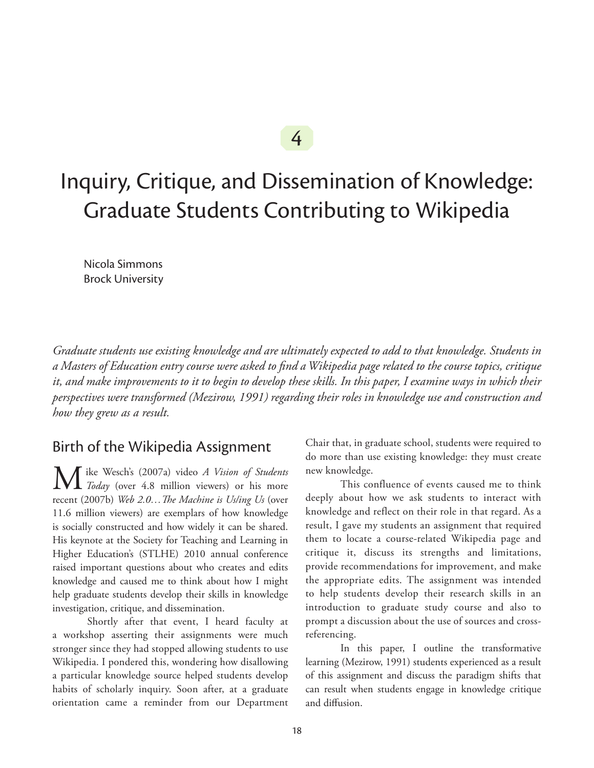# 4

# Inquiry, Critique, and Dissemination of Knowledge: Graduate Students Contributing to Wikipedia

Nicola Simmons Brock University

*Graduate students use existing knowledge and are ultimately expected to add to that knowledge. Students in a Masters of Education entry course were asked to find a Wikipedia page related to the course topics, critique it, and make improvements to it to begin to develop these skills. In this paper, I examine ways in which their perspectives were transformed (Mezirow, 1991) regarding their roles in knowledge use and construction and how they grew as a result.*

## Birth of the Wikipedia Assignment

**M** ike Wesch's (2007a) video *A Vision of Students*<br> *Today* (over 4.8 million viewers) or his more recent (2007b) *Web 2.0…The Machine is Us/ing Us* (over 11.6 million viewers) are exemplars of how knowledge is socially constructed and how widely it can be shared. His keynote at the Society for Teaching and Learning in Higher Education's (STLHE) 2010 annual conference raised important questions about who creates and edits knowledge and caused me to think about how I might help graduate students develop their skills in knowledge investigation, critique, and dissemination.

Shortly after that event, I heard faculty at a workshop asserting their assignments were much stronger since they had stopped allowing students to use Wikipedia. I pondered this, wondering how disallowing a particular knowledge source helped students develop habits of scholarly inquiry. Soon after, at a graduate orientation came a reminder from our Department

Chair that, in graduate school, students were required to do more than use existing knowledge: they must create new knowledge.

This confluence of events caused me to think deeply about how we ask students to interact with knowledge and reflect on their role in that regard. As a result, I gave my students an assignment that required them to locate a course-related Wikipedia page and critique it, discuss its strengths and limitations, provide recommendations for improvement, and make the appropriate edits. The assignment was intended to help students develop their research skills in an introduction to graduate study course and also to prompt a discussion about the use of sources and crossreferencing.

In this paper, I outline the transformative learning (Mezirow, 1991) students experienced as a result of this assignment and discuss the paradigm shifts that can result when students engage in knowledge critique and diffusion.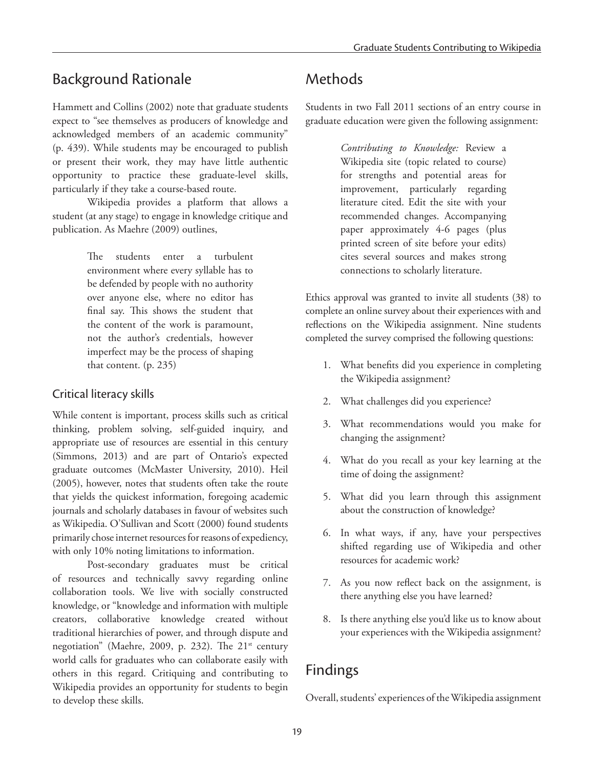# Background Rationale

Hammett and Collins (2002) note that graduate students expect to "see themselves as producers of knowledge and acknowledged members of an academic community" (p. 439). While students may be encouraged to publish or present their work, they may have little authentic opportunity to practice these graduate-level skills, particularly if they take a course-based route.

Wikipedia provides a platform that allows a student (at any stage) to engage in knowledge critique and publication. As Maehre (2009) outlines,

> The students enter a turbulent environment where every syllable has to be defended by people with no authority over anyone else, where no editor has final say. This shows the student that the content of the work is paramount, not the author's credentials, however imperfect may be the process of shaping that content. (p. 235)

#### Critical literacy skills

While content is important, process skills such as critical thinking, problem solving, self-guided inquiry, and appropriate use of resources are essential in this century (Simmons, 2013) and are part of Ontario's expected graduate outcomes (McMaster University, 2010). Heil (2005), however, notes that students often take the route that yields the quickest information, foregoing academic journals and scholarly databases in favour of websites such as Wikipedia. O'Sullivan and Scott (2000) found students primarily chose internet resources for reasons of expediency, with only 10% noting limitations to information.

Post-secondary graduates must be critical of resources and technically savvy regarding online collaboration tools. We live with socially constructed knowledge, or "knowledge and information with multiple creators, collaborative knowledge created without traditional hierarchies of power, and through dispute and negotiation" (Maehre, 2009, p. 232). The 21<sup>st</sup> century world calls for graduates who can collaborate easily with others in this regard. Critiquing and contributing to Wikipedia provides an opportunity for students to begin to develop these skills.

# Methods

Students in two Fall 2011 sections of an entry course in graduate education were given the following assignment:

> *Contributing to Knowledge:* Review a Wikipedia site (topic related to course) for strengths and potential areas for improvement, particularly regarding literature cited. Edit the site with your recommended changes. Accompanying paper approximately 4-6 pages (plus printed screen of site before your edits) cites several sources and makes strong connections to scholarly literature.

Ethics approval was granted to invite all students (38) to complete an online survey about their experiences with and reflections on the Wikipedia assignment. Nine students completed the survey comprised the following questions:

- 1. What benefits did you experience in completing the Wikipedia assignment?
- 2. What challenges did you experience?
- 3. What recommendations would you make for changing the assignment?
- 4. What do you recall as your key learning at the time of doing the assignment?
- 5. What did you learn through this assignment about the construction of knowledge?
- 6. In what ways, if any, have your perspectives shifted regarding use of Wikipedia and other resources for academic work?
- 7. As you now reflect back on the assignment, is there anything else you have learned?
- 8. Is there anything else you'd like us to know about your experiences with the Wikipedia assignment?

# Findings

Overall, students' experiences of the Wikipedia assignment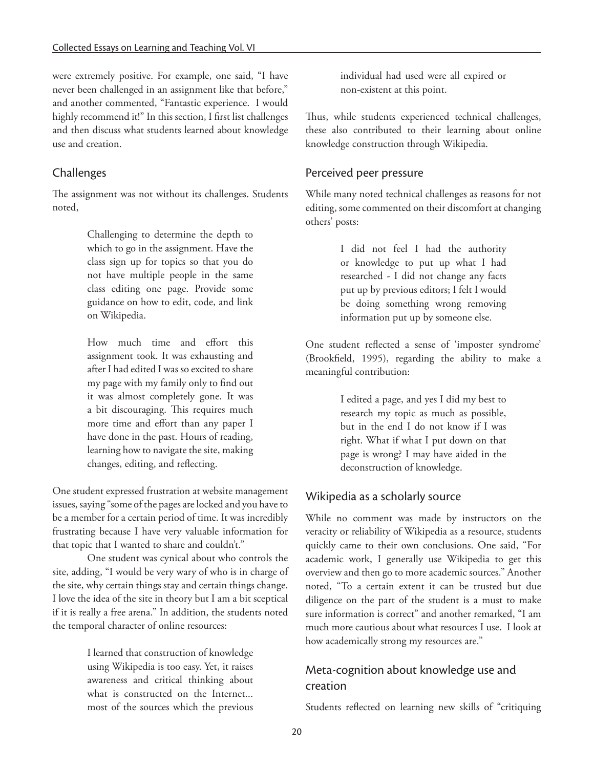were extremely positive. For example, one said, "I have never been challenged in an assignment like that before," and another commented, "Fantastic experience. I would highly recommend it!" In this section, I first list challenges and then discuss what students learned about knowledge use and creation.

#### Challenges

The assignment was not without its challenges. Students noted,

> Challenging to determine the depth to which to go in the assignment. Have the class sign up for topics so that you do not have multiple people in the same class editing one page. Provide some guidance on how to edit, code, and link on Wikipedia.

> How much time and effort this assignment took. It was exhausting and after I had edited I was so excited to share my page with my family only to find out it was almost completely gone. It was a bit discouraging. This requires much more time and effort than any paper I have done in the past. Hours of reading, learning how to navigate the site, making changes, editing, and reflecting.

One student expressed frustration at website management issues, saying "some of the pages are locked and you have to be a member for a certain period of time. It was incredibly frustrating because I have very valuable information for that topic that I wanted to share and couldn't."

One student was cynical about who controls the site, adding, "I would be very wary of who is in charge of the site, why certain things stay and certain things change. I love the idea of the site in theory but I am a bit sceptical if it is really a free arena." In addition, the students noted the temporal character of online resources:

> I learned that construction of knowledge using Wikipedia is too easy. Yet, it raises awareness and critical thinking about what is constructed on the Internet... most of the sources which the previous

individual had used were all expired or non-existent at this point.

Thus, while students experienced technical challenges, these also contributed to their learning about online knowledge construction through Wikipedia.

#### Perceived peer pressure

While many noted technical challenges as reasons for not editing, some commented on their discomfort at changing others' posts:

> I did not feel I had the authority or knowledge to put up what I had researched - I did not change any facts put up by previous editors; I felt I would be doing something wrong removing information put up by someone else.

One student reflected a sense of 'imposter syndrome' (Brookfield, 1995), regarding the ability to make a meaningful contribution:

> I edited a page, and yes I did my best to research my topic as much as possible, but in the end I do not know if I was right. What if what I put down on that page is wrong? I may have aided in the deconstruction of knowledge.

## Wikipedia as a scholarly source

While no comment was made by instructors on the veracity or reliability of Wikipedia as a resource, students quickly came to their own conclusions. One said, "For academic work, I generally use Wikipedia to get this overview and then go to more academic sources." Another noted, "To a certain extent it can be trusted but due diligence on the part of the student is a must to make sure information is correct" and another remarked, "I am much more cautious about what resources I use. I look at how academically strong my resources are."

## Meta-cognition about knowledge use and creation

Students reflected on learning new skills of "critiquing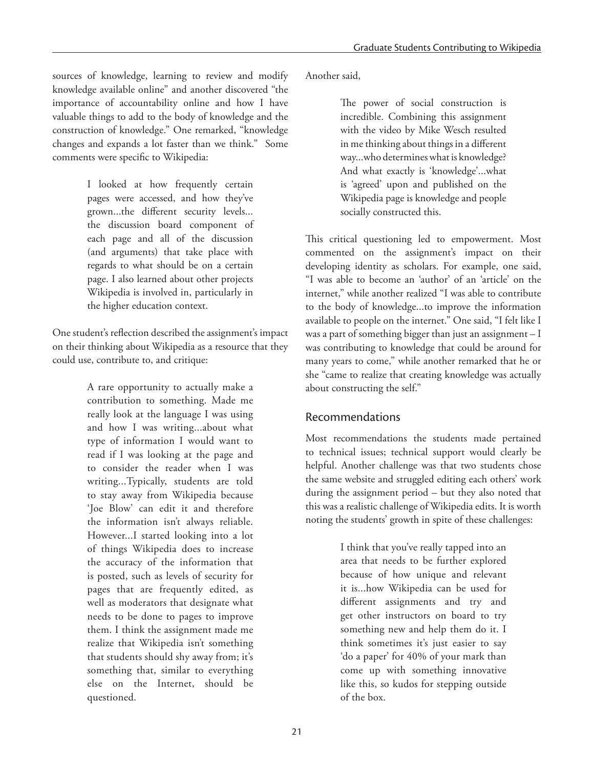sources of knowledge, learning to review and modify knowledge available online" and another discovered "the importance of accountability online and how I have valuable things to add to the body of knowledge and the construction of knowledge." One remarked, "knowledge changes and expands a lot faster than we think." Some comments were specific to Wikipedia:

> I looked at how frequently certain pages were accessed, and how they've grown...the different security levels... the discussion board component of each page and all of the discussion (and arguments) that take place with regards to what should be on a certain page. I also learned about other projects Wikipedia is involved in, particularly in the higher education context.

One student's reflection described the assignment's impact on their thinking about Wikipedia as a resource that they could use, contribute to, and critique:

> A rare opportunity to actually make a contribution to something. Made me really look at the language I was using and how I was writing...about what type of information I would want to read if I was looking at the page and to consider the reader when I was writing...Typically, students are told to stay away from Wikipedia because 'Joe Blow' can edit it and therefore the information isn't always reliable. However...I started looking into a lot of things Wikipedia does to increase the accuracy of the information that is posted, such as levels of security for pages that are frequently edited, as well as moderators that designate what needs to be done to pages to improve them. I think the assignment made me realize that Wikipedia isn't something that students should shy away from; it's something that, similar to everything else on the Internet, should be questioned.

Another said,

The power of social construction is incredible. Combining this assignment with the video by Mike Wesch resulted in me thinking about things in a different way...who determines what is knowledge? And what exactly is 'knowledge'...what is 'agreed' upon and published on the Wikipedia page is knowledge and people socially constructed this.

This critical questioning led to empowerment. Most commented on the assignment's impact on their developing identity as scholars. For example, one said, "I was able to become an 'author' of an 'article' on the internet," while another realized "I was able to contribute to the body of knowledge...to improve the information available to people on the internet." One said, "I felt like I was a part of something bigger than just an assignment – I was contributing to knowledge that could be around for many years to come," while another remarked that he or she "came to realize that creating knowledge was actually about constructing the self."

## Recommendations

Most recommendations the students made pertained to technical issues; technical support would clearly be helpful. Another challenge was that two students chose the same website and struggled editing each others' work during the assignment period – but they also noted that this was a realistic challenge of Wikipedia edits. It is worth noting the students' growth in spite of these challenges:

> I think that you've really tapped into an area that needs to be further explored because of how unique and relevant it is...how Wikipedia can be used for different assignments and try and get other instructors on board to try something new and help them do it. I think sometimes it's just easier to say 'do a paper' for 40% of your mark than come up with something innovative like this, so kudos for stepping outside of the box.